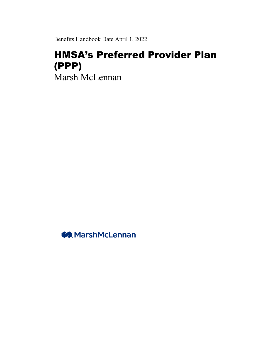Benefits Handbook Date April 1, 2022

# HMSA's Preferred Provider Plan (PPP) Marsh McLennan

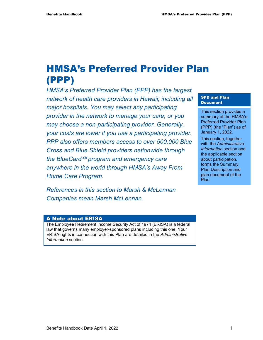# HMSA's Preferred Provider Plan (PPP)

*HMSA's Preferred Provider Plan (PPP) has the largest network of health care providers in Hawaii, including all major hospitals. You may select any participating provider in the network to manage your care, or you may choose a non-participating provider. Generally, your costs are lower if you use a participating provider. PPP also offers members access to over 500,000 Blue Cross and Blue Shield providers nationwide through*  the BlueCard<sup>™</sup> program and emergency care *anywhere in the world through HMSA's Away From Home Care Program.* 

*References in this section to Marsh & McLennan Companies mean Marsh McLennan.* 

#### SPD and Plan Document

This section provides a summary of the HMSA's Preferred Provider Plan (PPP) (the "Plan") as of January 1, 2022.

This section, together with the *Administrative Information* section and the applicable section about participation, forms the Summary Plan Description and plan document of the Plan.

#### A Note about ERISA

The Employee Retirement Income Security Act of 1974 (ERISA) is a federal law that governs many employer-sponsored plans including this one. Your ERISA rights in connection with this Plan are detailed in the *Administrative Information* section.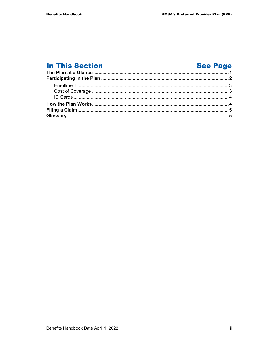# **In This Section**

# **See Page**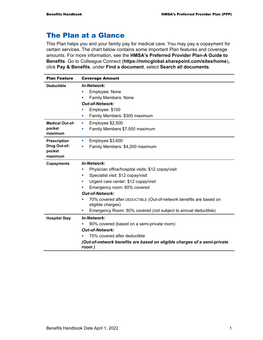## The Plan at a Glance

This Plan helps you and your family pay for medical care. You may pay a copayment for certain services. The chart below contains some important Plan features and coverage amounts. For more information, see the **HMSA's Preferred Provider Plan-A Guide to Benefits**. Go to Colleague Connect (**https://mmcglobal.sharepoint.com/sites/home**)**,**  click **Pay & Benefits**, under **Find a document**, select **Search all documents**.

| <b>Plan Feature</b>    | <b>Coverage Amount</b>                                                                  |  |  |  |
|------------------------|-----------------------------------------------------------------------------------------|--|--|--|
| <b>Deductible</b>      | <b>In-Network:</b>                                                                      |  |  |  |
|                        | Employee: None                                                                          |  |  |  |
|                        | Family Members: None<br>×,                                                              |  |  |  |
|                        | <b>Out-of-Network:</b>                                                                  |  |  |  |
|                        | Employee: \$100                                                                         |  |  |  |
|                        | Family Members: \$300 maximum<br>×,                                                     |  |  |  |
| <b>Medical Out-of-</b> | Employee \$2,500<br>ш                                                                   |  |  |  |
| pocket                 | Family Members \$7,500 maximum                                                          |  |  |  |
| maximum                |                                                                                         |  |  |  |
| <b>Prescription</b>    | Employee \$3,600<br>×,                                                                  |  |  |  |
| Drug Out-of-           | Family Members: \$4,200 maximum<br>$\blacksquare$                                       |  |  |  |
| pocket<br>maximum      |                                                                                         |  |  |  |
| <b>Copayments</b>      | <b>In-Network:</b>                                                                      |  |  |  |
|                        | Physician office/hospital visits: \$12 copay/visit                                      |  |  |  |
|                        | Specialist visit: \$12 copay/visit<br>×,                                                |  |  |  |
|                        | Urgent care center: \$12 copay/visit                                                    |  |  |  |
|                        | Emergency room: 80% covered                                                             |  |  |  |
|                        | <b>Out-of-Network:</b>                                                                  |  |  |  |
|                        | 70% covered after DEDUCTIBLE (Out-of-network benefits are based on<br>eligible charges) |  |  |  |
|                        | Emergency Room: 80% covered (not subject to annual deductible)                          |  |  |  |
| <b>Hospital Stay</b>   | <b>In-Network:</b>                                                                      |  |  |  |
|                        | 90% covered (based on a semi-private room)                                              |  |  |  |
|                        | <b>Out-of-Network:</b>                                                                  |  |  |  |
|                        | 70% covered after deductible                                                            |  |  |  |
|                        | (Out-of-network benefits are based on eligible charges of a semi-private<br>room)       |  |  |  |
|                        |                                                                                         |  |  |  |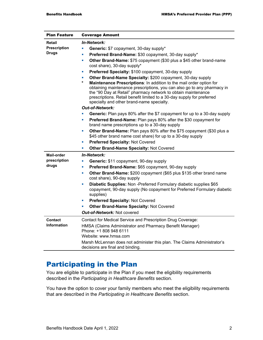| <b>Plan Feature</b>                                                                        | <b>Coverage Amount</b>                                                                                                                                                                                                                                                                                                                      |  |  |
|--------------------------------------------------------------------------------------------|---------------------------------------------------------------------------------------------------------------------------------------------------------------------------------------------------------------------------------------------------------------------------------------------------------------------------------------------|--|--|
| Retail                                                                                     | In-Network:                                                                                                                                                                                                                                                                                                                                 |  |  |
| <b>Prescription</b>                                                                        | Generic: \$7 copayment, 30-day supply*<br>Ù,                                                                                                                                                                                                                                                                                                |  |  |
| <b>Drugs</b>                                                                               | Preferred Brand-Name: \$30 copayment, 30-day supply*<br>×                                                                                                                                                                                                                                                                                   |  |  |
|                                                                                            | Other Brand-Name: \$75 copayment (\$30 plus a \$45 other brand-name<br>ш                                                                                                                                                                                                                                                                    |  |  |
|                                                                                            | cost share), 30-day supply*                                                                                                                                                                                                                                                                                                                 |  |  |
|                                                                                            | Preferred Specialty: \$100 copayment, 30-day supply<br>×                                                                                                                                                                                                                                                                                    |  |  |
|                                                                                            | Other Brand-Name Specialty: \$200 copayment, 30-day supply<br>ш                                                                                                                                                                                                                                                                             |  |  |
|                                                                                            | *<br>Maintenance Prescriptions: In addition to the mail order option for<br>obtaining maintenance prescriptions, you can also go to any pharmacy in<br>the "90 Day at Retail" pharmacy network to obtain maintenance<br>prescriptions. Retail benefit limited to a 30-day supply for preferred<br>specialty and other brand-name specialty. |  |  |
|                                                                                            | <b>Out-of-Network:</b>                                                                                                                                                                                                                                                                                                                      |  |  |
| Generic: Plan pays 80% after the \$7 copayment for up to a 30-day supply<br>$\blacksquare$ |                                                                                                                                                                                                                                                                                                                                             |  |  |
|                                                                                            | Preferred Brand-Name: Plan pays 80% after the \$30 copayment for<br>ш<br>brand name prescriptions up to a 30-day supply                                                                                                                                                                                                                     |  |  |
|                                                                                            | Other Brand-Name: Plan pays 80% after the \$75 copayment (\$30 plus a<br>ш<br>\$45 other brand name cost share) for up to a 30-day supply                                                                                                                                                                                                   |  |  |
|                                                                                            | Preferred Specialty: Not Covered<br>×                                                                                                                                                                                                                                                                                                       |  |  |
|                                                                                            | Other Brand-Name Specialty: Not Covered<br>×                                                                                                                                                                                                                                                                                                |  |  |
| <b>Mail-order</b>                                                                          | <b>In-Network:</b>                                                                                                                                                                                                                                                                                                                          |  |  |
| prescription                                                                               | Generic: \$11 copayment, 90-day supply<br>$\blacksquare$                                                                                                                                                                                                                                                                                    |  |  |
| drugs                                                                                      | Preferred Brand-Name: \$65 copayment, 90-day supply<br>L,                                                                                                                                                                                                                                                                                   |  |  |
|                                                                                            | Other Brand-Name: \$200 copayment (\$65 plus \$135 other brand name<br>$\blacksquare$<br>cost share), 90-day supply                                                                                                                                                                                                                         |  |  |
|                                                                                            | Diabetic Supplies: Non-Preferred Formulary diabetic supplies \$65<br>×                                                                                                                                                                                                                                                                      |  |  |
|                                                                                            | copayment, 90-day supply (No copayment for Preferred Formulary diabetic<br>supplies)                                                                                                                                                                                                                                                        |  |  |
|                                                                                            | Preferred Specialty: Not Covered<br>ш                                                                                                                                                                                                                                                                                                       |  |  |
|                                                                                            | <b>Other Brand-Name Specialty: Not Covered</b><br>ш                                                                                                                                                                                                                                                                                         |  |  |
|                                                                                            | <b>Out-of-Network: Not covered</b>                                                                                                                                                                                                                                                                                                          |  |  |
| <b>Contact</b>                                                                             | Contact for Medical Service and Prescription Drug Coverage:                                                                                                                                                                                                                                                                                 |  |  |
| <b>Information</b>                                                                         | HMSA (Claims Administrator and Pharmacy Benefit Manager)                                                                                                                                                                                                                                                                                    |  |  |
|                                                                                            | Phone: +1 808 948 6111                                                                                                                                                                                                                                                                                                                      |  |  |
|                                                                                            | Website: www.hmsa.com                                                                                                                                                                                                                                                                                                                       |  |  |
|                                                                                            | Marsh McLennan does not administer this plan. The Claims Administrator's<br>decisions are final and binding.                                                                                                                                                                                                                                |  |  |

# Participating in the Plan

You are eligible to participate in the Plan if you meet the eligibility requirements described in the *Participating in Healthcare Benefits* section.

You have the option to cover your family members who meet the eligibility requirements that are described in the *Participating in Healthcare Benefits* section.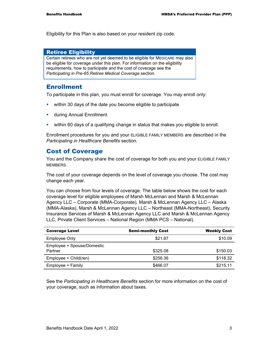Eligibility for this Plan is also based on your resident zip code.

#### Retiree Eligibility

Certain retirees who are not yet deemed to be eligible for MEDICARE may also be eligible for coverage under this plan. For information on the eligibility requirements, how to participate and the cost of coverage see the *Participating in Pre-65 Retiree Medical Coverage* section.

### Enrollment

To participate in this plan, you must enroll for coverage. You may enroll only:

- **within 30 days of the date you become eligible to participate**
- **u.** during Annual Enrollment
- within 60 days of a qualifying change in status that makes you eligible to enroll.

Enrollment procedures for you and your ELIGIBLE FAMILY MEMBERS are described in the *Participating in Healthcare Benefits* section.

### Cost of Coverage

You and the Company share the cost of coverage for both you and your ELIGIBLE FAMILY MEMBERS.

The cost of your coverage depends on the level of coverage you choose. The cost may change each year.

You can choose from four levels of coverage. The table below shows the cost for each coverage level for eligible employees of Marsh McLennan and Marsh & McLennan Agency LLC – Corporate (MMA-Corporate), Marsh & McLennan Agency LLC – Alaska (MMA-Alaska), Marsh & McLennan Agency LLC – Northeast (MMA-Northeast), Security Insurance Services of Marsh & McLennan Agency LLC and Marsh & McLennan Agency LLC, Private Client Services – National Region (MMA PCS – National).

| <b>Coverage Level</b>                 | <b>Semi-monthly Cost</b> | <b>Weekly Cost</b> |
|---------------------------------------|--------------------------|--------------------|
| <b>Employee Only</b>                  | \$21.87                  | \$10.09            |
| Employee + Spouse/Domestic<br>Partner | \$325.08                 | \$150.03           |
| Employee + Child(ren)                 | \$256.36                 | \$118.32           |
| Employee + Family                     | \$466.07                 | \$215.11           |

See the *Participating in Healthcare Benefits* section for more information on the cost of your coverage, such as information about taxes.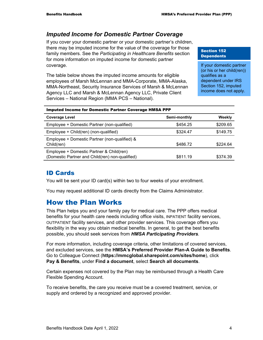### *Imputed Income for Domestic Partner Coverage*

If you cover your domestic partner or your domestic partner's children, there may be imputed income for the value of the coverage for those family members. See the *Participating in Healthcare Benefits* section for more information on imputed income for domestic partner coverage.

The table below shows the imputed income amounts for eligible employees of Marsh McLennan and MMA-Corporate, MMA-Alaska, MMA-Northeast, Security Insurance Services of Marsh & McLennan Agency LLC and Marsh & McLennan Agency LLC, Private Client Services – National Region (MMA PCS – National).

#### Section 152 **Dependents**

If your domestic partner (or his or her child(ren)) qualifies as a dependent under IRS Section 152, imputed income does not apply.

| <b>Coverage Level</b>                                                                       | Semi-monthly | Weekly   |
|---------------------------------------------------------------------------------------------|--------------|----------|
| Employee + Domestic Partner (non-qualified)                                                 | \$454.25     | \$209.65 |
| Employee + Child(ren) (non-qualified)                                                       | \$324.47     | \$149.75 |
| Employee + Domestic Partner (non-qualified) &<br>Child(ren)                                 | \$486.72     | \$224.64 |
| Employee + Domestic Partner & Child(ren)<br>(Domestic Partner and Child(ren) non-qualified) | \$811.19     | \$374.39 |

#### Imputed Income for Domestic Partner Coverage HMSA PPP

### ID Cards

You will be sent your ID card(s) within two to four weeks of your enrollment.

You may request additional ID cards directly from the Claims Administrator.

## How the Plan Works

This Plan helps you and your family pay for medical care. The PPP offers medical benefits for your health care needs including office visits, INPATIENT facility services, OUTPATIENT facility services, and other provider services. This coverage offers you flexibility in the way you obtain medical benefits. In general, to get the best benefits possible, you should seek services from *HMSA Participating Providers.*

For more information, including coverage criteria, other limitations of covered services, and excluded services, see the **HMSA's Preferred Provider Plan-A Guide to Benefits**. Go to Colleague Connect (**https://mmcglobal.sharepoint.com/sites/home**), click **Pay & Benefits**, under **Find a document**, select **Search all documents**.

Certain expenses not covered by the Plan may be reimbursed through a Health Care Flexible Spending Account.

To receive benefits, the care you receive must be a covered treatment, service, or supply and ordered by a recognized and approved provider.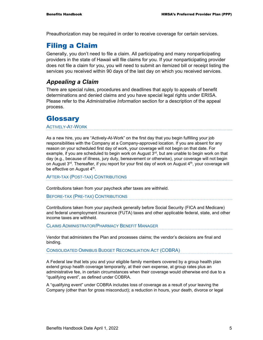Preauthorization may be required in order to receive coverage for certain services.

# Filing a Claim

Generally, you don't need to file a claim. All participating and many nonparticipating providers in the state of Hawaii will file claims for you. If your nonparticipating provider does not file a claim for you, you will need to submit an itemized bill or receipt listing the services you received within 90 days of the last day on which you received services.

### *Appealing a Claim*

There are special rules, procedures and deadlines that apply to appeals of benefit determinations and denied claims and you have special legal rights under ERISA. Please refer to the *Administrative Information* section for a description of the appeal process.

# **Glossary**

ACTIVELY-AT-WORK

As a new hire, you are "Actively-At-Work" on the first day that you begin fulfilling your job responsibilities with the Company at a Company-approved location. If you are absent for any reason on your scheduled first day of work, your coverage will not begin on that date. For example, if you are scheduled to begin work on August  $3<sup>rd</sup>$ , but are unable to begin work on that day (e.g., because of illness, jury duty, bereavement or otherwise), your coverage will not begin on August  $3<sup>rd</sup>$ . Thereafter, if you report for your first day of work on August  $4<sup>th</sup>$ , your coverage will be effective on August 4<sup>th</sup>.

AFTER-TAX (POST-TAX) CONTRIBUTIONS

Contributions taken from your paycheck after taxes are withheld.

BEFORE-TAX (PRE-TAX) CONTRIBUTIONS

Contributions taken from your paycheck generally before Social Security (FICA and Medicare) and federal unemployment insurance (FUTA) taxes and other applicable federal, state, and other income taxes are withheld.

CLAIMS ADMINISTRATOR/PHARMACY BENEFIT MANAGER

Vendor that administers the Plan and processes claims; the vendor's decisions are final and binding.

CONSOLIDATED OMNIBUS BUDGET RECONCILIATION ACT (COBRA)

A Federal law that lets you and your eligible family members covered by a group health plan extend group health coverage temporarily, at their own expense, at group rates plus an administrative fee, in certain circumstances when their coverage would otherwise end due to a "qualifying event", as defined under COBRA.

A "qualifying event" under COBRA includes loss of coverage as a result of your leaving the Company (other than for gross misconduct); a reduction in hours, your death, divorce or legal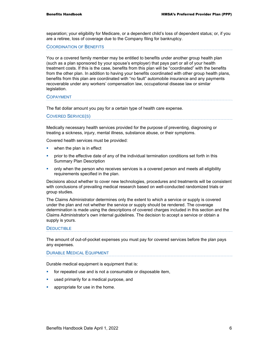separation; your eligibility for Medicare, or a dependent child's loss of dependent status; or, if you are a retiree, loss of coverage due to the Company filing for bankruptcy.

COORDINATION OF BENEFITS

You or a covered family member may be entitled to benefits under another group health plan (such as a plan sponsored by your spouse's employer) that pays part or all of your health treatment costs. If this is the case, benefits from this plan will be "coordinated" with the benefits from the other plan. In addition to having your benefits coordinated with other group health plans, benefits from this plan are coordinated with "no fault" automobile insurance and any payments recoverable under any workers' compensation law, occupational disease law or similar legislation.

#### COPAYMENT

The flat dollar amount you pay for a certain type of health care expense.

#### COVERED SERVICE(S)

Medically necessary health services provided for the purpose of preventing, diagnosing or treating a sickness, injury, mental illness, substance abuse, or their symptoms.

Covered health services must be provided:

- **•** when the plan is in effect
- **•** prior to the effective date of any of the individual termination conditions set forth in this Summary Plan Description
- **•** only when the person who receives services is a covered person and meets all eligibility requirements specified in the plan.

Decisions about whether to cover new technologies, procedures and treatments will be consistent with conclusions of prevailing medical research based on well-conducted randomized trials or group studies.

The Claims Administrator determines only the extent to which a service or supply is covered under the plan and not whether the service or supply should be rendered. The coverage determination is made using the descriptions of covered charges included in this section and the Claims Administrator's own internal guidelines. The decision to accept a service or obtain a supply is yours.

#### **DEDUCTIBLE**

The amount of out-of-pocket expenses you must pay for covered services before the plan pays any expenses.

#### DURABLE MEDICAL EQUIPMENT

Durable medical equipment is equipment that is:

- for repeated use and is not a consumable or disposable item,
- **used primarily for a medical purpose, and**
- **•** appropriate for use in the home.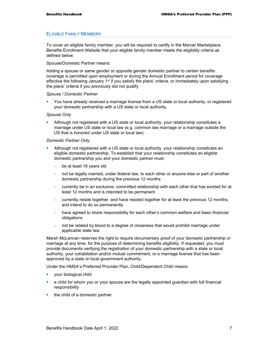#### ELIGIBLE FAMILY MEMBERS

To cover an eligible family member, you will be required to certify in the Mercer Marketplace Benefits Enrollment Website that your eligible family member meets the eligibility criteria as defined below.

#### Spouse/Domestic Partner means:

Adding a spouse or same gender or opposite gender domestic partner to certain benefits coverage is permitted upon employment or during the Annual Enrollment period for coverage effective the following January 1<sup>st</sup> if you satisfy the plans' criteria, or immediately upon satisfying the plans' criteria if you previously did not qualify

#### *Spouse / Domestic Partner*

 You have already received a marriage license from a US state or local authority, or registered your domestic partnership with a US state or local authority.

#### *Spouse Only*

 Although not registered with a US state or local authority, your relationship constitutes a marriage under US state or local law (e.g. common law marriage or a marriage outside the US that is honored under US state or local law).

#### *Domestic Partner Only*

- Although not registered with a US state or local authority, your relationship constitutes an eligible domestic partnership. To establish that your relationship constitutes an eligible domestic partnership you and your domestic partner must:
	- be at least 18 years old
	- not be legally married, under federal law, to each other or anyone else or part of another domestic partnership during the previous 12 months
	- − currently be in an exclusive, committed relationship with each other that has existed for at least 12 months and is intended to be permanent
	- − currently reside together, and have resided together for at least the previous 12 months, and intend to do so permanently
	- have agreed to share responsibility for each other's common welfare and basic financial obligations
	- not be related by blood to a degree of closeness that would prohibit marriage under applicable state law.

Marsh McLennan reserves the right to require documentary proof of your domestic partnership or marriage at any time, for the purpose of determining benefits eligibility. If requested, you must provide documents verifying the registration of your domestic partnership with a state or local authority, your cohabitation and/or mutual commitment, or a marriage license that has been approved by a state or local government authority.

Under the HMSA's Preferred Provider Plan, Child/Dependent Child means:

- **vour biological child**
- a child for whom you or your spouse are the legally appointed guardian with full financial responsibility
- the child of a domestic partner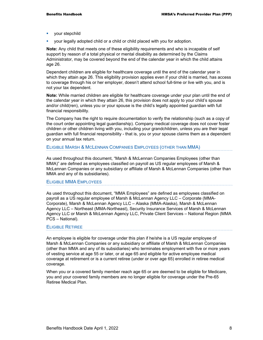- your stepchild
- your legally adopted child or a child or child placed with you for adoption.

**Note:** Any child that meets one of these eligibility requirements and who is incapable of self support by reason of a total physical or mental disability as determined by the Claims Administrator, may be covered beyond the end of the calendar year in which the child attains age 26.

Dependent children are eligible for healthcare coverage until the end of the calendar year in which they attain age 26. This eligibility provision applies even if your child is married, has access to coverage through his or her employer, doesn't attend school full-time or live with you, and is not your tax dependent.

**Note:** While married children are eligible for healthcare coverage under your plan until the end of the calendar year in which they attain 26, this provision does not apply to your child's spouse and/or child(ren), unless you or your spouse is the child's legally appointed guardian with full financial responsibility.

The Company has the right to require documentation to verify the relationship (such as a copy of the court order appointing legal guardianship). Company medical coverage does not cover foster children or other children living with you, including your grandchildren, unless you are their legal guardian with full financial responsibility - that is, you or your spouse claims them as a dependent on your annual tax return.

#### ELIGIBLE MARSH & MCLENNAN COMPANIES EMPLOYEES (OTHER THAN MMA)

As used throughout this document, "Marsh & McLennan Companies Employees (other than MMA)" are defined as employees classified on payroll as US regular employees of Marsh & McLennan Companies or any subsidiary or affiliate of Marsh & McLennan Companies (other than MMA and any of its subsidiaries).

#### ELIGIBLE MMA EMPLOYEES

As used throughout this document, "MMA Employees" are defined as employees classified on payroll as a US regular employee of Marsh & McLennan Agency LLC – Corporate (MMA-Corporate), Marsh & McLennan Agency LLC – Alaska (MMA-Alaska), Marsh & McLennan Agency LLC – Northeast (MMA-Northeast), Security Insurance Services of Marsh & McLennan Agency LLC or Marsh & McLennan Agency LLC, Private Client Services – National Region (MMA PCS – National).

#### ELIGIBLE RETIREE

An employee is eligible for coverage under this plan if he/she is a US regular employee of Marsh & McLennan Companies or any subsidiary or affiliate of Marsh & McLennan Companies (other than MMA and any of its subsidiaries) who terminates employment with five or more years of vesting service at age 55 or later, or at age 65 and eligible for active employee medical coverage at retirement or is a current retiree (under or over age 65) enrolled in retiree medical coverage.

When you or a covered family member reach age 65 or are deemed to be eligible for Medicare, you and your covered family members are no longer eligible for coverage under the Pre-65 Retiree Medical Plan.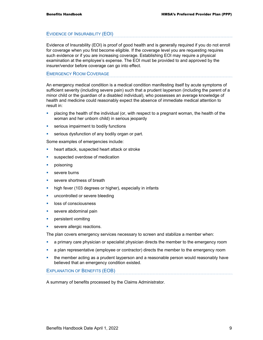#### EVIDENCE OF INSURABILITY (EOI)

Evidence of Insurability (EOI) is proof of good health and is generally required if you do not enroll for coverage when you first become eligible. If the coverage level you are requesting requires such evidence or if you are increasing coverage. Establishing EOI may require a physical examination at the employee's expense. The EOI must be provided to and approved by the insurer/vendor before coverage can go into effect.

#### EMERGENCY ROOM COVERAGE

An emergency medical condition is a medical condition manifesting itself by acute symptoms of sufficient severity (including severe pain) such that a prudent layperson (including the parent of a minor child or the guardian of a disabled individual), who possesses an average knowledge of health and medicine could reasonably expect the absence of immediate medical attention to result in:

- placing the health of the individual (or, with respect to a pregnant woman, the health of the woman and her unborn child) in serious jeopardy
- **serious impairment to bodily functions**
- **serious dysfunction of any bodily organ or part.**

Some examples of emergencies include:

- **heart attack, suspected heart attack or stroke**
- **s** suspected overdose of medication
- **•** poisoning
- **severe burns**
- severe shortness of breath
- **high fever (103 degrees or higher), especially in infants**
- **uncontrolled or severe bleeding**
- **loss of consciousness**
- **severe abdominal pain**
- **persistent vomiting**
- severe allergic reactions.

The plan covers emergency services necessary to screen and stabilize a member when:

- a primary care physician or specialist physician directs the member to the emergency room
- **a** plan representative (employee or contractor) directs the member to the emergency room
- the member acting as a prudent layperson and a reasonable person would reasonably have believed that an emergency condition existed.

EXPLANATION OF BENEFITS (EOB)

A summary of benefits processed by the Claims Administrator.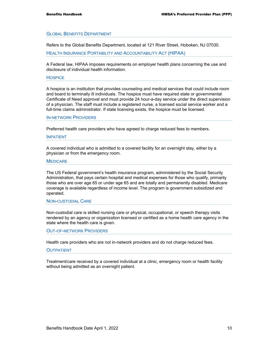#### GLOBAL BENEFITS DEPARTMENT

Refers to the Global Benefits Department, located at 121 River Street, Hoboken, NJ 07030.

HEALTH INSURANCE PORTABILITY AND ACCOUNTABILITY ACT (HIPAA)

A Federal law, HIPAA imposes requirements on employer health plans concerning the use and disclosure of individual health information.

#### **HOSPICE**

A hospice is an institution that provides counseling and medical services that could include room and board to terminally ill individuals. The hospice must have required state or governmental Certificate of Need approval and must provide 24 hour-a-day service under the direct supervision of a physician. The staff must include a registered nurse, a licensed social service worker and a full-time claims administrator. If state licensing exists, the hospice must be licensed.

#### IN-NETWORK PROVIDERS

Preferred health care providers who have agreed to charge reduced fees to members.

#### INPATIENT

A covered individual who is admitted to a covered facility for an overnight stay, either by a physician or from the emergency room.

#### **MEDICARE**

The US Federal government's health insurance program, administered by the Social Security Administration, that pays certain hospital and medical expenses for those who qualify, primarily those who are over age 65 or under age 65 and are totally and permanently disabled. Medicare coverage is available regardless of income level. The program is government subsidized and operated.

#### NON-CUSTODIAL CARE

Non-custodial care is skilled nursing care or physical, occupational, or speech therapy visits rendered by an agency or organization licensed or certified as a home health care agency in the state where the health care is given.

#### OUT-OF-NETWORK PROVIDERS

Health care providers who are not in-network providers and do not charge reduced fees.

#### **OUTPATIENT**

Treatment/care received by a covered individual at a clinic, emergency room or health facility without being admitted as an overnight patient.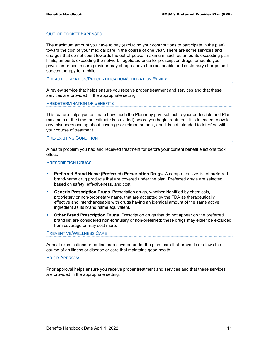#### OUT-OF-POCKET EXPENSES

The maximum amount you have to pay (excluding your contributions to participate in the plan) toward the cost of your medical care in the course of one year. There are some services and charges that do not count towards the out-of-pocket maximum, such as amounts exceeding plan limits, amounts exceeding the network negotiated price for prescription drugs, amounts your physician or health care provider may charge above the reasonable and customary charge, and speech therapy for a child.

PREAUTHORIZATION/PRECERTIFICATION/UTILIZATION REVIEW

A review service that helps ensure you receive proper treatment and services and that these services are provided in the appropriate setting.

PREDETERMINATION OF BENEFITS

This feature helps you estimate how much the Plan may pay (subject to your deductible and Plan maximum at the time the estimate is provided) before you begin treatment. It is intended to avoid any misunderstanding about coverage or reimbursement, and it is not intended to interfere with your course of treatment.

#### PRE-EXISTING CONDITION

A health problem you had and received treatment for before your current benefit elections took effect.

#### PRESCRIPTION DRUGS

- **Preferred Brand Name (Preferred) Prescription Drugs.** A comprehensive list of preferred brand-name drug products that are covered under the plan. Preferred drugs are selected based on safety, effectiveness, and cost.
- **Generic Prescription Drugs.** Prescription drugs, whether identified by chemicals, proprietary or non-proprietary name, that are accepted by the FDA as therapeutically effective and interchangeable with drugs having an identical amount of the same active ingredient as its brand name equivalent.
- **Other Brand Prescription Drugs.** Prescription drugs that do not appear on the preferred brand list are considered non-formulary or non-preferred; these drugs may either be excluded from coverage or may cost more.

#### PREVENTIVE/WELLNESS CARE

Annual examinations or routine care covered under the plan; care that prevents or slows the course of an illness or disease or care that maintains good health.

#### PRIOR APPROVAL

Prior approval helps ensure you receive proper treatment and services and that these services are provided in the appropriate setting.